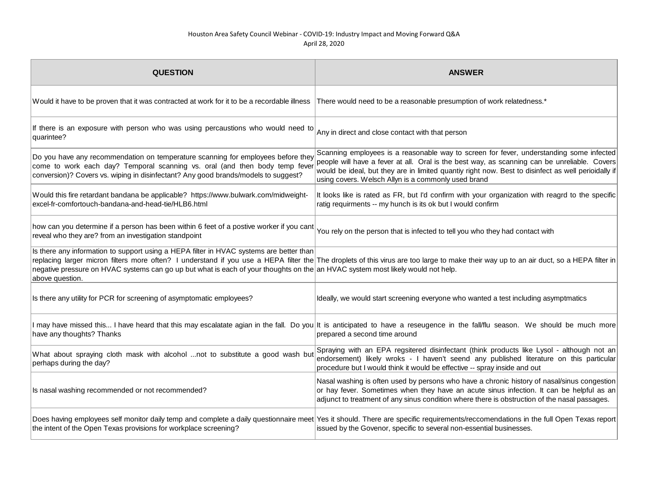| <b>QUESTION</b>                                                                                                                                                                                                                                       | <b>ANSWER</b>                                                                                                                                                                                                                                                                                                                                         |
|-------------------------------------------------------------------------------------------------------------------------------------------------------------------------------------------------------------------------------------------------------|-------------------------------------------------------------------------------------------------------------------------------------------------------------------------------------------------------------------------------------------------------------------------------------------------------------------------------------------------------|
| Would it have to be proven that it was contracted at work for it to be a recordable illness                                                                                                                                                           | There would need to be a reasonable presumption of work relatedness.*                                                                                                                                                                                                                                                                                 |
| If there is an exposure with person who was using percaustions who would need to<br>quarintee?                                                                                                                                                        | Any in direct and close contact with that person                                                                                                                                                                                                                                                                                                      |
| Do you have any recommendation on temperature scanning for employees before they<br>come to work each day? Temporal scanning vs. oral (and then body temp fever<br>conversion)? Covers vs. wiping in disinfectant? Any good brands/models to suggest? | Scanning employees is a reasonable way to screen for fever, understanding some infected<br>people will have a fever at all. Oral is the best way, as scanning can be unreliable. Covers<br>would be ideal, but they are in limited quantiy right now. Best to disinfect as well perioidally if<br>using covers. Welsch Allyn is a commonly used brand |
| Would this fire retardant bandana be applicable? https://www.bulwark.com/midweight-<br>excel-fr-comfortouch-bandana-and-head-tie/HLB6.html                                                                                                            | It looks like is rated as FR, but I'd confirm with your organization with reagrd to the specific<br>ratig requirments -- my hunch is its ok but I would confirm                                                                                                                                                                                       |
| how can you determine if a person has been within 6 feet of a postive worker if you cant<br>reveal who they are? from an investigation standpoint                                                                                                     | You rely on the person that is infected to tell you who they had contact with                                                                                                                                                                                                                                                                         |
| Is there any information to support using a HEPA filter in HVAC systems are better than<br>negative pressure on HVAC systems can go up but what is each of your thoughts on the an HVAC system most likely would not help.<br>above question.         | replacing larger micron filters more often? I understand if you use a HEPA filter the The droplets of this virus are too large to make their way up to an air duct, so a HEPA filter in                                                                                                                                                               |
| Is there any utility for PCR for screening of asymptomatic employees?                                                                                                                                                                                 | Ideally, we would start screening everyone who wanted a test including asymptmatics                                                                                                                                                                                                                                                                   |
| have any thoughts? Thanks                                                                                                                                                                                                                             | I may have missed this I have heard that this may escalatate agian in the fall. Do you It is anticipated to have a reseugence in the fall/flu season. We should be much more<br>prepared a second time around                                                                                                                                         |
| What about spraying cloth mask with alcohol not to substitute a good wash but<br>perhaps during the day?                                                                                                                                              | Spraying with an EPA regsitered disinfectant (think products like Lysol - although not an<br>endorsement) likely wroks - I haven't seend any published literature on this particular<br>procedure but I would think it would be effective -- spray inside and out                                                                                     |
| Is nasal washing recommended or not recommended?                                                                                                                                                                                                      | Nasal washing is often used by persons who have a chronic history of nasal/sinus congestion<br>or hay fever. Sometimes when they have an acute sinus infection. It can be helpful as an<br>adjunct to treatment of any sinus condition where there is obstruction of the nasal passages.                                                              |
| the intent of the Open Texas provisions for workplace screening?                                                                                                                                                                                      | Does having employees self monitor daily temp and complete a daily questionnaire meet Yes it should. There are specific requirements/reccomendations in the full Open Texas report<br>issued by the Govenor, specific to several non-essential businesses.                                                                                            |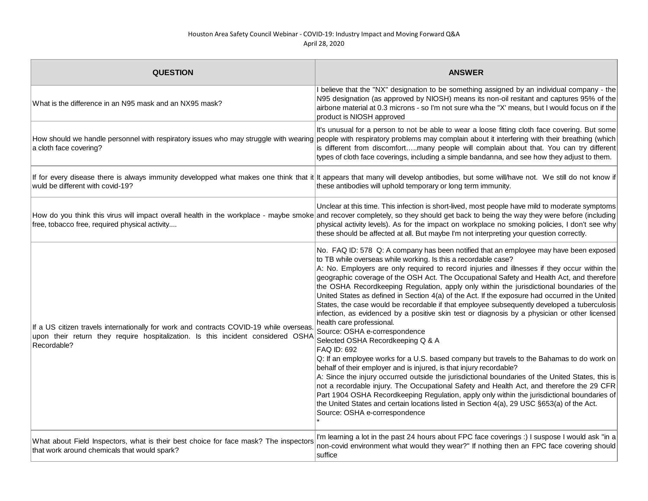| <b>QUESTION</b>                                                                                                                                                                            | <b>ANSWER</b>                                                                                                                                                                                                                                                                                                                                                                                                                                                                                                                                                                                                                                                                                                                                                                                                                                                                                                                                                                                                                                                                                                                                                                                                                                                                                                                                                                                                                                                             |
|--------------------------------------------------------------------------------------------------------------------------------------------------------------------------------------------|---------------------------------------------------------------------------------------------------------------------------------------------------------------------------------------------------------------------------------------------------------------------------------------------------------------------------------------------------------------------------------------------------------------------------------------------------------------------------------------------------------------------------------------------------------------------------------------------------------------------------------------------------------------------------------------------------------------------------------------------------------------------------------------------------------------------------------------------------------------------------------------------------------------------------------------------------------------------------------------------------------------------------------------------------------------------------------------------------------------------------------------------------------------------------------------------------------------------------------------------------------------------------------------------------------------------------------------------------------------------------------------------------------------------------------------------------------------------------|
| What is the difference in an N95 mask and an NX95 mask?                                                                                                                                    | believe that the "NX" designation to be something assigned by an individual company - the<br>N95 designation (as approved by NIOSH) means its non-oil resitant and captures 95% of the<br>airbone material at 0.3 microns - so I'm not sure wha the "X' means, but I would focus on if the<br>product is NIOSH approved                                                                                                                                                                                                                                                                                                                                                                                                                                                                                                                                                                                                                                                                                                                                                                                                                                                                                                                                                                                                                                                                                                                                                   |
| a cloth face covering?                                                                                                                                                                     | It's unusual for a person to not be able to wear a loose fitting cloth face covering. But some<br>How should we handle personnel with respiratory issues who may struggle with wearing people with respiratory problems may complain about it interfering with their breathing (which<br>is different from discomfortmany people will complain about that. You can try different<br>types of cloth face coverings, including a simple bandanna, and see how they adjust to them.                                                                                                                                                                                                                                                                                                                                                                                                                                                                                                                                                                                                                                                                                                                                                                                                                                                                                                                                                                                          |
| wuld be different with covid-19?                                                                                                                                                           | If for every disease there is always immunity developped what makes one think that it it appears that many will develop antibodies, but some will/have not. We still do not know if<br>these antibodies will uphold temporary or long term immunity.                                                                                                                                                                                                                                                                                                                                                                                                                                                                                                                                                                                                                                                                                                                                                                                                                                                                                                                                                                                                                                                                                                                                                                                                                      |
| free, tobacco free, required physical activity                                                                                                                                             | Unclear at this time. This infection is short-lived, most people have mild to moderate symptoms<br>How do you think this virus will impact overall health in the workplace - maybe smoke and recover completely, so they should get back to being the way they were before (including<br>physical activity levels). As for the impact on workplace no smoking policies, I don't see why<br>these should be affected at all. But maybe I'm not interpreting your question correctly.                                                                                                                                                                                                                                                                                                                                                                                                                                                                                                                                                                                                                                                                                                                                                                                                                                                                                                                                                                                       |
| If a US citizen travels internationally for work and contracts COVID-19 while overseas.<br>upon their return they require hospitalization. Is this incident considered OSHA<br>Recordable? | No. FAQ ID: 578 Q: A company has been notified that an employee may have been exposed<br>to TB while overseas while working. Is this a recordable case?<br>A: No. Employers are only required to record injuries and illnesses if they occur within the<br>geographic coverage of the OSH Act. The Occupational Safety and Health Act, and therefore<br>the OSHA Recordkeeping Regulation, apply only within the jurisdictional boundaries of the<br>United States as defined in Section 4(a) of the Act. If the exposure had occurred in the United<br>States, the case would be recordable if that employee subsequently developed a tuberculosis<br>infection, as evidenced by a positive skin test or diagnosis by a physician or other licensed<br>health care professional.<br>Source: OSHA e-correspondence<br>Selected OSHA Recordkeeping Q & A<br>FAQ ID: 692<br>Q: If an employee works for a U.S. based company but travels to the Bahamas to do work on<br>behalf of their employer and is injured, is that injury recordable?<br>A: Since the injury occurred outside the jurisdictional boundaries of the United States, this is<br>not a recordable injury. The Occupational Safety and Health Act, and therefore the 29 CFR<br>Part 1904 OSHA Recordkeeping Regulation, apply only within the jurisdictional boundaries of<br>the United States and certain locations listed in Section 4(a), 29 USC §653(a) of the Act.<br>Source: OSHA e-correspondence |
| What about Field Inspectors, what is their best choice for face mask? The inspectors<br>that work around chemicals that would spark?                                                       | I'm learning a lot in the past 24 hours about FPC face coverings :) I suspose I would ask "in a<br>non-covid environment what would they wear?" If nothing then an FPC face covering should<br>suffice                                                                                                                                                                                                                                                                                                                                                                                                                                                                                                                                                                                                                                                                                                                                                                                                                                                                                                                                                                                                                                                                                                                                                                                                                                                                    |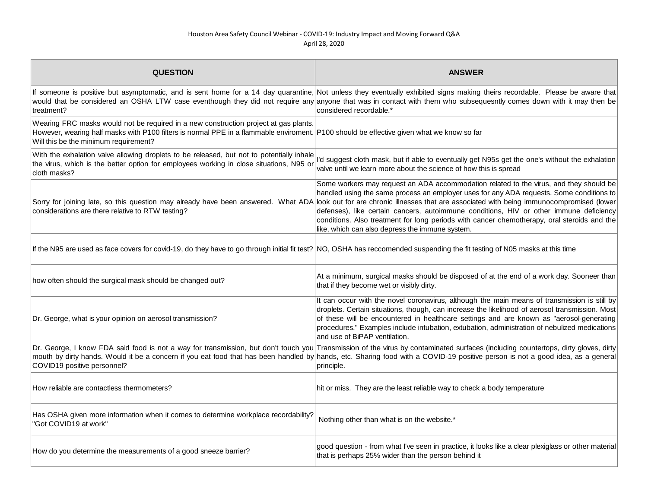| <b>QUESTION</b>                                                                                                                                                                                                                                                            | <b>ANSWER</b>                                                                                                                                                                                                                                                                                                                                                                                                                                                                                                                |
|----------------------------------------------------------------------------------------------------------------------------------------------------------------------------------------------------------------------------------------------------------------------------|------------------------------------------------------------------------------------------------------------------------------------------------------------------------------------------------------------------------------------------------------------------------------------------------------------------------------------------------------------------------------------------------------------------------------------------------------------------------------------------------------------------------------|
| treatment?                                                                                                                                                                                                                                                                 | If someone is positive but asymptomatic, and is sent home for a 14 day quarantine, Not unless they eventually exhibited signs making theirs recordable. Please be aware that<br>would that be considered an OSHA LTW case eventhough they did not require any anyone that was in contact with them who subsequesntly comes down with it may then be<br>considered recordable.*                                                                                                                                               |
| Wearing FRC masks would not be required in a new construction project at gas plants.<br>However, wearing half masks with P100 filters is normal PPE in a flammable enviroment. P100 should be effective given what we know so far<br>Will this be the minimum requirement? |                                                                                                                                                                                                                                                                                                                                                                                                                                                                                                                              |
| With the exhalation valve allowing droplets to be released, but not to potentially inhale<br>the virus, which is the better option for employees working in close situations, N95 or<br>cloth masks?                                                                       | I'd suggest cloth mask, but if able to eventually get N95s get the one's without the exhalation<br>valve until we learn more about the science of how this is spread                                                                                                                                                                                                                                                                                                                                                         |
| Sorry for joining late, so this question may already have been answered. What ADA<br>considerations are there relative to RTW testing?                                                                                                                                     | Some workers may request an ADA accommodation related to the virus, and they should be<br>handled using the same process an employer uses for any ADA requests. Some conditions to<br>look out for are chronic illnesses that are associated with being immunocompromised (lower<br>defenses), like certain cancers, autoimmune conditions, HIV or other immune deficiency<br>conditions. Also treatment for long periods with cancer chemotherapy, oral steroids and the<br>like, which can also depress the immune system. |
| If the N95 are used as face covers for covid-19, do they have to go through initial fit test? NO, OSHA has reccomended suspending the fit testing of N05 masks at this time                                                                                                |                                                                                                                                                                                                                                                                                                                                                                                                                                                                                                                              |
| how often should the surgical mask should be changed out?                                                                                                                                                                                                                  | At a minimum, surgical masks should be disposed of at the end of a work day. Sooneer than<br>that if they become wet or visibly dirty.                                                                                                                                                                                                                                                                                                                                                                                       |
| Dr. George, what is your opinion on aerosol transmission?                                                                                                                                                                                                                  | It can occur with the novel coronavirus, although the main means of transmission is still by<br>droplets. Certain situations, though, can increase the likelihood of aerosol transmission. Most<br>of these will be encountered in healthcare settings and are known as "aerosol-generating<br>procedures." Examples include intubation, extubation, administration of nebulized medications<br>and use of BiPAP ventilation.                                                                                                |
| COVID19 positive personnel?                                                                                                                                                                                                                                                | Dr. George, I know FDA said food is not a way for transmission, but don't touch you Transmission of the virus by contaminated surfaces (including countertops, dirty gloves, dirty<br>mouth by dirty hands. Would it be a concern if you eat food that has been handled by hands, etc. Sharing food with a COVID-19 positive person is not a good idea, as a general<br>principle.                                                                                                                                           |
| How reliable are contactless thermometers?                                                                                                                                                                                                                                 | hit or miss. They are the least reliable way to check a body temperature                                                                                                                                                                                                                                                                                                                                                                                                                                                     |
| Has OSHA given more information when it comes to determine workplace recordability?<br>"Got COVID19 at work"                                                                                                                                                               | Nothing other than what is on the website.*                                                                                                                                                                                                                                                                                                                                                                                                                                                                                  |
| How do you determine the measurements of a good sneeze barrier?                                                                                                                                                                                                            | good question - from what I've seen in practice, it looks like a clear plexiglass or other material<br>that is perhaps 25% wider than the person behind it                                                                                                                                                                                                                                                                                                                                                                   |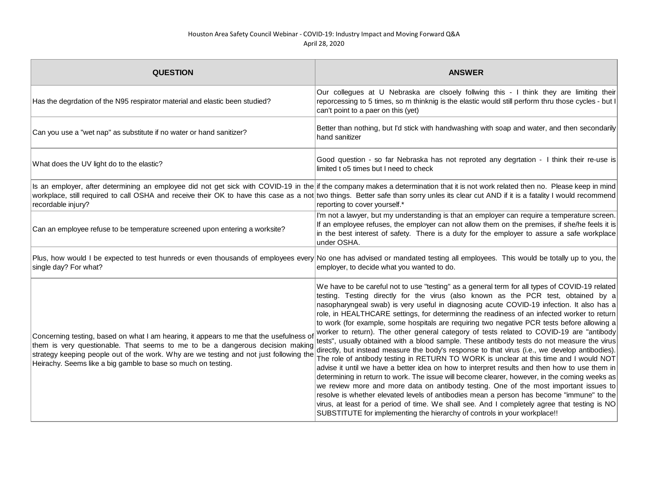| <b>QUESTION</b>                                                                                                                                                                                                                                                                                                                    | <b>ANSWER</b>                                                                                                                                                                                                                                                                                                                                                                                                                                                                                                                                                                                                                                                                                                                                                                                                                                                                                                                                                                                                                                                                                                                                                                                                                                                                                                                                                                                                                               |
|------------------------------------------------------------------------------------------------------------------------------------------------------------------------------------------------------------------------------------------------------------------------------------------------------------------------------------|---------------------------------------------------------------------------------------------------------------------------------------------------------------------------------------------------------------------------------------------------------------------------------------------------------------------------------------------------------------------------------------------------------------------------------------------------------------------------------------------------------------------------------------------------------------------------------------------------------------------------------------------------------------------------------------------------------------------------------------------------------------------------------------------------------------------------------------------------------------------------------------------------------------------------------------------------------------------------------------------------------------------------------------------------------------------------------------------------------------------------------------------------------------------------------------------------------------------------------------------------------------------------------------------------------------------------------------------------------------------------------------------------------------------------------------------|
| Has the degrdation of the N95 respirator material and elastic been studied?                                                                                                                                                                                                                                                        | Our collegues at U Nebraska are clsoely follwing this - I think they are limiting their<br>reporcessing to 5 times, so m thinknig is the elastic would still perform thru those cycles - but I<br>can't point to a paer on this (yet)                                                                                                                                                                                                                                                                                                                                                                                                                                                                                                                                                                                                                                                                                                                                                                                                                                                                                                                                                                                                                                                                                                                                                                                                       |
| Can you use a "wet nap" as substitute if no water or hand sanitizer?                                                                                                                                                                                                                                                               | Better than nothing, but I'd stick with handwashing with soap and water, and then secondarily<br>hand sanitizer                                                                                                                                                                                                                                                                                                                                                                                                                                                                                                                                                                                                                                                                                                                                                                                                                                                                                                                                                                                                                                                                                                                                                                                                                                                                                                                             |
| What does the UV light do to the elastic?                                                                                                                                                                                                                                                                                          | Good question - so far Nebraska has not reproted any degrtation - I think their re-use is<br>limited t o5 times but I need to check                                                                                                                                                                                                                                                                                                                                                                                                                                                                                                                                                                                                                                                                                                                                                                                                                                                                                                                                                                                                                                                                                                                                                                                                                                                                                                         |
| recordable injury?                                                                                                                                                                                                                                                                                                                 | Is an employer, after determining an employee did not get sick with COVID-19 in the if the company makes a determination that it is not work related then no. Please keep in mind<br>workplace, still required to call OSHA and receive their OK to have this case as a not two things. Better safe than sorry unles its clear cut AND if it is a fatality I would recommend<br>reporting to cover yourself.*                                                                                                                                                                                                                                                                                                                                                                                                                                                                                                                                                                                                                                                                                                                                                                                                                                                                                                                                                                                                                               |
| Can an employee refuse to be temperature screened upon entering a worksite?                                                                                                                                                                                                                                                        | I'm not a lawyer, but my understanding is that an employer can require a temperature screen.<br>If an employee refuses, the employer can not allow them on the premises, if she/he feels it is<br>in the best interest of safety. There is a duty for the employer to assure a safe workplace<br>under OSHA.                                                                                                                                                                                                                                                                                                                                                                                                                                                                                                                                                                                                                                                                                                                                                                                                                                                                                                                                                                                                                                                                                                                                |
| single day? For what?                                                                                                                                                                                                                                                                                                              | Plus, how would I be expected to test hunreds or even thousands of employees every No one has advised or mandated testing all employees. This would be totally up to you, the<br>employer, to decide what you wanted to do.                                                                                                                                                                                                                                                                                                                                                                                                                                                                                                                                                                                                                                                                                                                                                                                                                                                                                                                                                                                                                                                                                                                                                                                                                 |
| Concerning testing, based on what I am hearing, it appears to me that the usefulness o<br>them is very questionable. That seems to me to be a dangerous decision making<br>strategy keeping people out of the work. Why are we testing and not just following the<br>Heirachy. Seems like a big gamble to base so much on testing. | We have to be careful not to use "testing" as a general term for all types of COVID-19 related<br>testing. Testing directly for the virus (also known as the PCR test, obtained by a<br>nasopharyngeal swab) is very useful in diagnosing acute COVID-19 infection. It also has a<br>role, in HEALTHCARE settings, for determinng the readiness of an infected worker to return<br>to work (for example, some hospitals are requiring two negative PCR tests before allowing a<br>worker to return). The other general category of tests related to COVID-19 are "antibody<br>tests", usually obtained with a blood sample. These antibody tests do not measure the virus<br>directly, but instead measure the body's response to that virus (i.e., we develop antibodies).<br>The role of antibody testing in RETURN TO WORK is unclear at this time and I would NOT<br>advise it until we have a better idea on how to interpret results and then how to use them in<br>determining in return to work. The issue will become clearer, however, in the coming weeks as<br>we review more and more data on antibody testing. One of the most important issues to<br>resolve is whether elevated levels of antibodies mean a person has become "immune" to the<br>virus, at least for a period of time. We shall see. And I completely agree that testing is NO<br>SUBSTITUTE for implementing the hierarchy of controls in your workplace!! |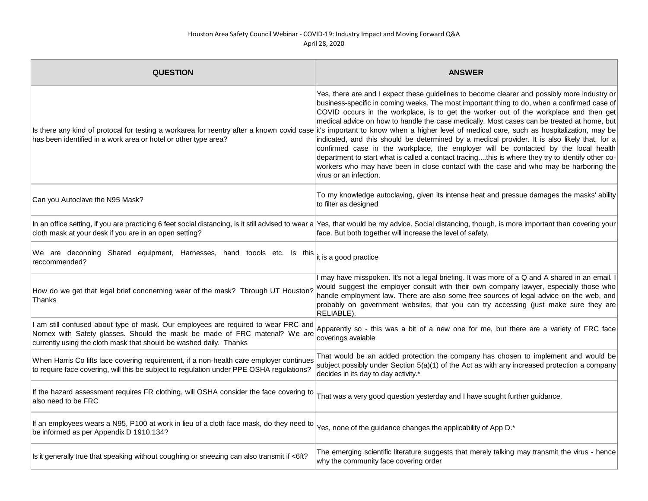| <b>QUESTION</b>                                                                                                                                                                                                                      | <b>ANSWER</b>                                                                                                                                                                                                                                                                                                                                                                                                                                                                                                                                                                                                                                                                                                                                                                                                                                                                                                                                                                              |
|--------------------------------------------------------------------------------------------------------------------------------------------------------------------------------------------------------------------------------------|--------------------------------------------------------------------------------------------------------------------------------------------------------------------------------------------------------------------------------------------------------------------------------------------------------------------------------------------------------------------------------------------------------------------------------------------------------------------------------------------------------------------------------------------------------------------------------------------------------------------------------------------------------------------------------------------------------------------------------------------------------------------------------------------------------------------------------------------------------------------------------------------------------------------------------------------------------------------------------------------|
| has been identified in a work area or hotel or other type area?                                                                                                                                                                      | Yes, there are and I expect these guidelines to become clearer and possibly more industry or<br>business-specific in coming weeks. The most important thing to do, when a confirmed case of<br>COVID occurs in the workplace, is to get the worker out of the workplace and then get<br>medical advice on how to handle the case medically. Most cases can be treated at home, but<br>Is there any kind of protocal for testing a workarea for reentry after a known covid case it's important to know when a higher level of medical care, such as hospitalization, may be<br>indicated, and this should be determined by a medical provider. It is also likely that, for a<br>confirmed case in the workplace, the employer will be contacted by the local health<br>department to start what is called a contact tracingthis is where they try to identify other co-<br>workers who may have been in close contact with the case and who may be harboring the<br>virus or an infection. |
| Can you Autoclave the N95 Mask?                                                                                                                                                                                                      | To my knowledge autoclaving, given its intense heat and pressue damages the masks' ability<br>to filter as designed                                                                                                                                                                                                                                                                                                                                                                                                                                                                                                                                                                                                                                                                                                                                                                                                                                                                        |
| cloth mask at your desk if you are in an open setting?                                                                                                                                                                               | In an office setting, if you are practicing 6 feet social distancing, is it still advised to wear a Yes, that would be my advice. Social distancing, though, is more important than covering your<br>face. But both together will increase the level of safety.                                                                                                                                                                                                                                                                                                                                                                                                                                                                                                                                                                                                                                                                                                                            |
| We are deconning Shared equipment, Harnesses, hand toools etc. Is this<br>reccommended?                                                                                                                                              | it is a good practice                                                                                                                                                                                                                                                                                                                                                                                                                                                                                                                                                                                                                                                                                                                                                                                                                                                                                                                                                                      |
| How do we get that legal brief concnerning wear of the mask? Through UT Houston?<br>Thanks                                                                                                                                           | I may have misspoken. It's not a legal briefing. It was more of a Q and A shared in an email. I<br>would suggest the employer consult with their own company lawyer, especially those who<br>handle employment law. There are also some free sources of legal advice on the web, and<br>probably on government websites, that you can try accessing (just make sure they are<br>RELIABLE).                                                                                                                                                                                                                                                                                                                                                                                                                                                                                                                                                                                                 |
| am still confused about type of mask. Our employees are required to wear FRC and<br>Nomex with Safety glasses. Should the mask be made of FRC material? We are<br>currently using the cloth mask that should be washed daily. Thanks | Apparently so - this was a bit of a new one for me, but there are a variety of FRC face<br>coverings avaiable                                                                                                                                                                                                                                                                                                                                                                                                                                                                                                                                                                                                                                                                                                                                                                                                                                                                              |
| When Harris Co lifts face covering requirement, if a non-health care employer continues<br>to require face covering, will this be subject to regulation under PPE OSHA regulations?                                                  | That would be an added protection the company has chosen to implement and would be<br>subject possibly under Section 5(a)(1) of the Act as with any increased protection a company<br>decides in its day to day activity.*                                                                                                                                                                                                                                                                                                                                                                                                                                                                                                                                                                                                                                                                                                                                                                 |
| If the hazard assessment requires FR clothing, will OSHA consider the face covering to<br>also need to be FRC                                                                                                                        | That was a very good question yesterday and I have sought further guidance.                                                                                                                                                                                                                                                                                                                                                                                                                                                                                                                                                                                                                                                                                                                                                                                                                                                                                                                |
| If an employees wears a N95, P100 at work in lieu of a cloth face mask, do they need to<br>be informed as per Appendix D 1910.134?                                                                                                   | Yes, none of the guidance changes the applicability of App D.*                                                                                                                                                                                                                                                                                                                                                                                                                                                                                                                                                                                                                                                                                                                                                                                                                                                                                                                             |
| Is it generally true that speaking without coughing or sneezing can also transmit if <6ft?                                                                                                                                           | The emerging scientific literature suggests that merely talking may transmit the virus - hence<br>why the community face covering order                                                                                                                                                                                                                                                                                                                                                                                                                                                                                                                                                                                                                                                                                                                                                                                                                                                    |